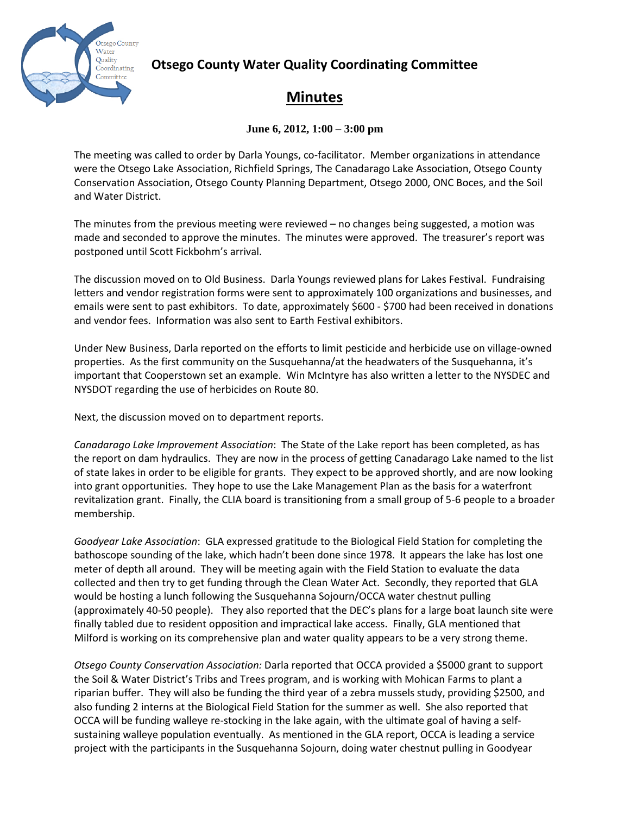

## **Otsego County Water Quality Coordinating Committee**

## **Minutes**

## **June 6, 2012, 1:00 – 3:00 pm**

The meeting was called to order by Darla Youngs, co-facilitator. Member organizations in attendance were the Otsego Lake Association, Richfield Springs, The Canadarago Lake Association, Otsego County Conservation Association, Otsego County Planning Department, Otsego 2000, ONC Boces, and the Soil and Water District.

The minutes from the previous meeting were reviewed – no changes being suggested, a motion was made and seconded to approve the minutes. The minutes were approved. The treasurer's report was postponed until Scott Fickbohm's arrival.

The discussion moved on to Old Business. Darla Youngs reviewed plans for Lakes Festival. Fundraising letters and vendor registration forms were sent to approximately 100 organizations and businesses, and emails were sent to past exhibitors. To date, approximately \$600 - \$700 had been received in donations and vendor fees. Information was also sent to Earth Festival exhibitors.

Under New Business, Darla reported on the efforts to limit pesticide and herbicide use on village-owned properties. As the first community on the Susquehanna/at the headwaters of the Susquehanna, it's important that Cooperstown set an example. Win McIntyre has also written a letter to the NYSDEC and NYSDOT regarding the use of herbicides on Route 80.

Next, the discussion moved on to department reports.

*Canadarago Lake Improvement Association*: The State of the Lake report has been completed, as has the report on dam hydraulics. They are now in the process of getting Canadarago Lake named to the list of state lakes in order to be eligible for grants. They expect to be approved shortly, and are now looking into grant opportunities. They hope to use the Lake Management Plan as the basis for a waterfront revitalization grant. Finally, the CLIA board is transitioning from a small group of 5-6 people to a broader membership.

*Goodyear Lake Association*: GLA expressed gratitude to the Biological Field Station for completing the bathoscope sounding of the lake, which hadn't been done since 1978. It appears the lake has lost one meter of depth all around. They will be meeting again with the Field Station to evaluate the data collected and then try to get funding through the Clean Water Act. Secondly, they reported that GLA would be hosting a lunch following the Susquehanna Sojourn/OCCA water chestnut pulling (approximately 40-50 people). They also reported that the DEC's plans for a large boat launch site were finally tabled due to resident opposition and impractical lake access. Finally, GLA mentioned that Milford is working on its comprehensive plan and water quality appears to be a very strong theme.

*Otsego County Conservation Association:* Darla reported that OCCA provided a \$5000 grant to support the Soil & Water District's Tribs and Trees program, and is working with Mohican Farms to plant a riparian buffer. They will also be funding the third year of a zebra mussels study, providing \$2500, and also funding 2 interns at the Biological Field Station for the summer as well. She also reported that OCCA will be funding walleye re-stocking in the lake again, with the ultimate goal of having a selfsustaining walleye population eventually. As mentioned in the GLA report, OCCA is leading a service project with the participants in the Susquehanna Sojourn, doing water chestnut pulling in Goodyear